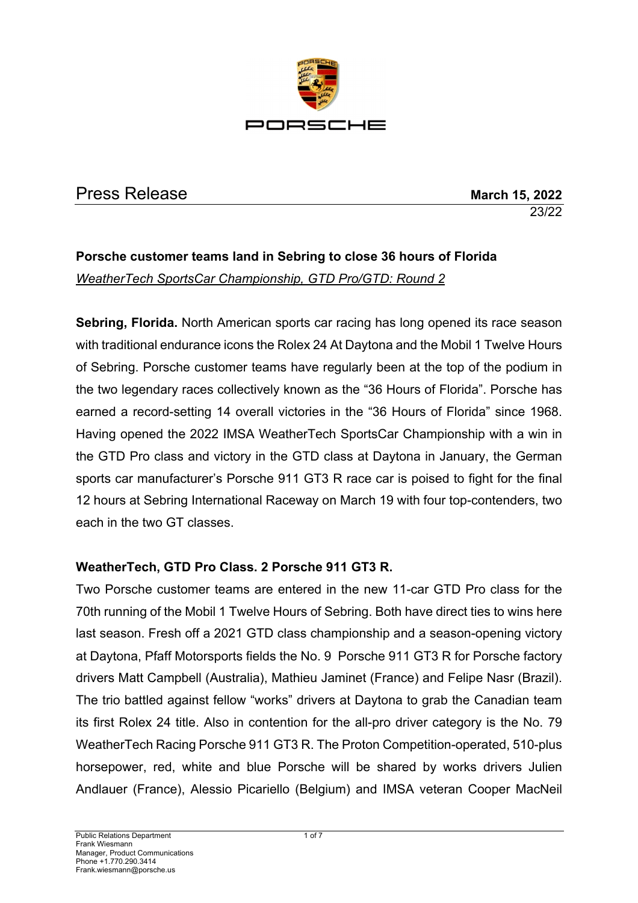

# Press Release **March 15, 2022**

23/22

# **Porsche customer teams land in Sebring to close 36 hours of Florida** *WeatherTech SportsCar Championship, GTD Pro/GTD: Round 2*

**Sebring, Florida.** North American sports car racing has long opened its race season with traditional endurance icons the Rolex 24 At Daytona and the Mobil 1 Twelve Hours of Sebring. Porsche customer teams have regularly been at the top of the podium in the two legendary races collectively known as the "36 Hours of Florida". Porsche has earned a record-setting 14 overall victories in the "36 Hours of Florida" since 1968. Having opened the 2022 IMSA WeatherTech SportsCar Championship with a win in the GTD Pro class and victory in the GTD class at Daytona in January, the German sports car manufacturer's Porsche 911 GT3 R race car is poised to fight for the final 12 hours at Sebring International Raceway on March 19 with four top-contenders, two each in the two GT classes.

### **WeatherTech, GTD Pro Class. 2 Porsche 911 GT3 R.**

Two Porsche customer teams are entered in the new 11-car GTD Pro class for the 70th running of the Mobil 1 Twelve Hours of Sebring. Both have direct ties to wins here last season. Fresh off a 2021 GTD class championship and a season-opening victory at Daytona, Pfaff Motorsports fields the No. 9 Porsche 911 GT3 R for Porsche factory drivers Matt Campbell (Australia), Mathieu Jaminet (France) and Felipe Nasr (Brazil). The trio battled against fellow "works" drivers at Daytona to grab the Canadian team its first Rolex 24 title. Also in contention for the all-pro driver category is the No. 79 WeatherTech Racing Porsche 911 GT3 R. The Proton Competition-operated, 510-plus horsepower, red, white and blue Porsche will be shared by works drivers Julien Andlauer (France), Alessio Picariello (Belgium) and IMSA veteran Cooper MacNeil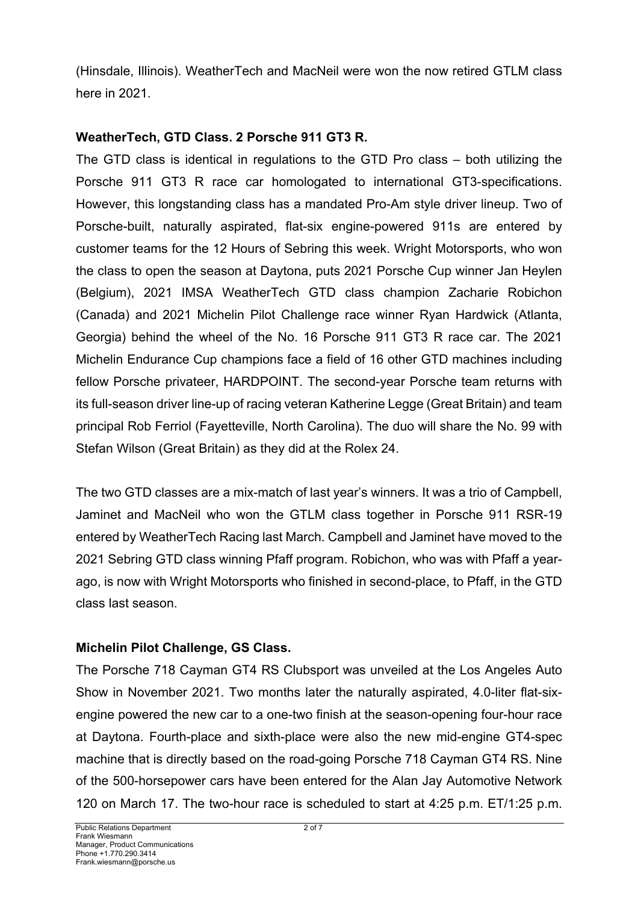(Hinsdale, Illinois). WeatherTech and MacNeil were won the now retired GTLM class here in 2021.

#### **WeatherTech, GTD Class. 2 Porsche 911 GT3 R.**

The GTD class is identical in regulations to the GTD Pro class – both utilizing the Porsche 911 GT3 R race car homologated to international GT3-specifications. However, this longstanding class has a mandated Pro-Am style driver lineup. Two of Porsche-built, naturally aspirated, flat-six engine-powered 911s are entered by customer teams for the 12 Hours of Sebring this week. Wright Motorsports, who won the class to open the season at Daytona, puts 2021 Porsche Cup winner Jan Heylen (Belgium), 2021 IMSA WeatherTech GTD class champion Zacharie Robichon (Canada) and 2021 Michelin Pilot Challenge race winner Ryan Hardwick (Atlanta, Georgia) behind the wheel of the No. 16 Porsche 911 GT3 R race car. The 2021 Michelin Endurance Cup champions face a field of 16 other GTD machines including fellow Porsche privateer, HARDPOINT. The second-year Porsche team returns with its full-season driver line-up of racing veteran Katherine Legge (Great Britain) and team principal Rob Ferriol (Fayetteville, North Carolina). The duo will share the No. 99 with Stefan Wilson (Great Britain) as they did at the Rolex 24.

The two GTD classes are a mix-match of last year's winners. It was a trio of Campbell, Jaminet and MacNeil who won the GTLM class together in Porsche 911 RSR-19 entered by WeatherTech Racing last March. Campbell and Jaminet have moved to the 2021 Sebring GTD class winning Pfaff program. Robichon, who was with Pfaff a yearago, is now with Wright Motorsports who finished in second-place, to Pfaff, in the GTD class last season.

### **Michelin Pilot Challenge, GS Class.**

The Porsche 718 Cayman GT4 RS Clubsport was unveiled at the Los Angeles Auto Show in November 2021. Two months later the naturally aspirated, 4.0-liter flat-sixengine powered the new car to a one-two finish at the season-opening four-hour race at Daytona. Fourth-place and sixth-place were also the new mid-engine GT4-spec machine that is directly based on the road-going Porsche 718 Cayman GT4 RS. Nine of the 500-horsepower cars have been entered for the Alan Jay Automotive Network 120 on March 17. The two-hour race is scheduled to start at 4:25 p.m. ET/1:25 p.m.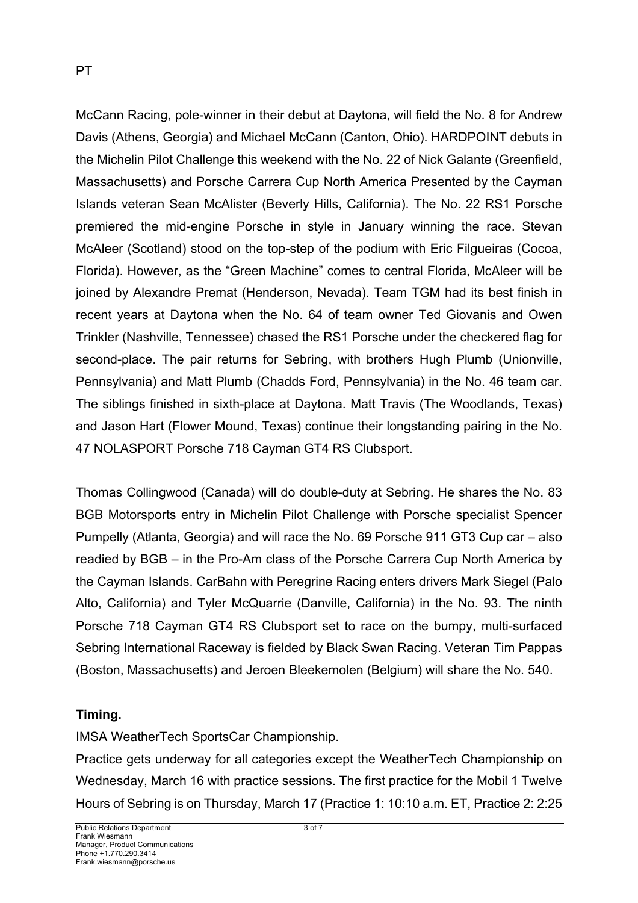McCann Racing, pole-winner in their debut at Daytona, will field the No. 8 for Andrew Davis (Athens, Georgia) and Michael McCann (Canton, Ohio). HARDPOINT debuts in the Michelin Pilot Challenge this weekend with the No. 22 of Nick Galante (Greenfield, Massachusetts) and Porsche Carrera Cup North America Presented by the Cayman Islands veteran Sean McAlister (Beverly Hills, California). The No. 22 RS1 Porsche premiered the mid-engine Porsche in style in January winning the race. Stevan McAleer (Scotland) stood on the top-step of the podium with Eric Filgueiras (Cocoa, Florida). However, as the "Green Machine" comes to central Florida, McAleer will be joined by Alexandre Premat (Henderson, Nevada). Team TGM had its best finish in recent years at Daytona when the No. 64 of team owner Ted Giovanis and Owen Trinkler (Nashville, Tennessee) chased the RS1 Porsche under the checkered flag for second-place. The pair returns for Sebring, with brothers Hugh Plumb (Unionville, Pennsylvania) and Matt Plumb (Chadds Ford, Pennsylvania) in the No. 46 team car. The siblings finished in sixth-place at Daytona. Matt Travis (The Woodlands, Texas) and Jason Hart (Flower Mound, Texas) continue their longstanding pairing in the No. 47 NOLASPORT Porsche 718 Cayman GT4 RS Clubsport.

Thomas Collingwood (Canada) will do double-duty at Sebring. He shares the No. 83 BGB Motorsports entry in Michelin Pilot Challenge with Porsche specialist Spencer Pumpelly (Atlanta, Georgia) and will race the No. 69 Porsche 911 GT3 Cup car – also readied by BGB – in the Pro-Am class of the Porsche Carrera Cup North America by the Cayman Islands. CarBahn with Peregrine Racing enters drivers Mark Siegel (Palo Alto, California) and Tyler McQuarrie (Danville, California) in the No. 93. The ninth Porsche 718 Cayman GT4 RS Clubsport set to race on the bumpy, multi-surfaced Sebring International Raceway is fielded by Black Swan Racing. Veteran Tim Pappas (Boston, Massachusetts) and Jeroen Bleekemolen (Belgium) will share the No. 540.

### **Timing.**

IMSA WeatherTech SportsCar Championship.

Practice gets underway for all categories except the WeatherTech Championship on Wednesday, March 16 with practice sessions. The first practice for the Mobil 1 Twelve Hours of Sebring is on Thursday, March 17 (Practice 1: 10:10 a.m. ET, Practice 2: 2:25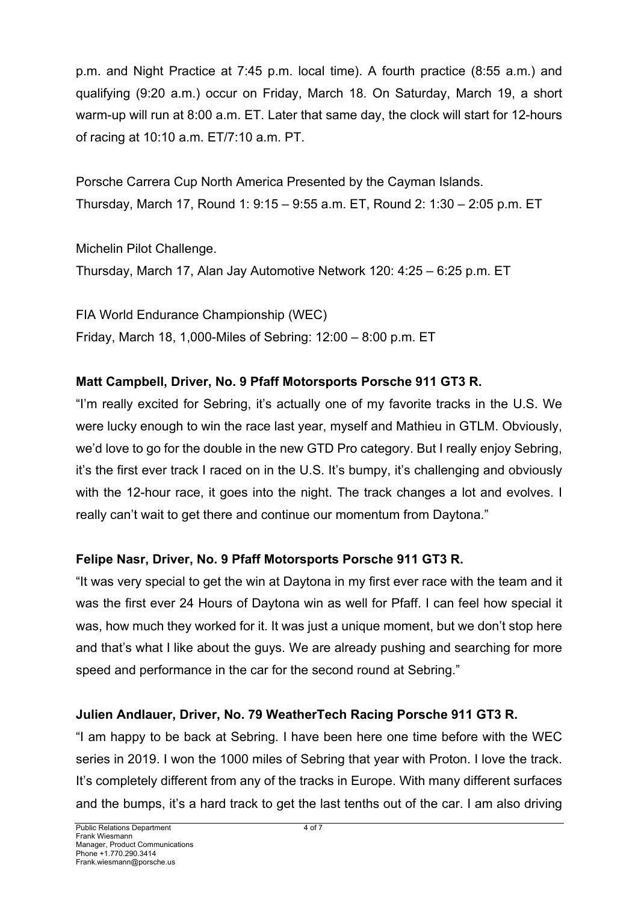p.m. and Night Practice at 7:45 p.m. local time). A fourth practice (8:55 a.m.) and qualifying (9:20 a.m.) occur on Friday, March 18. On Saturday, March 19, a short warm-up will run at 8:00 a.m. ET. Later that same day, the clock will start for 12-hours of racing at 10:10 a.m. ET/7:10 a.m. PT.

Porsche Carrera Cup North America Presented by the Cayman Islands. Thursday, March 17, Round 1: 9:15 – 9:55 a.m. ET, Round 2: 1:30 – 2:05 p.m. ET

Michelin Pilot Challenge. Thursday, March 17, Alan Jay Automotive Network 120: 4:25 – 6:25 p.m. ET

FIA World Endurance Championship (WEC) Friday, March 18, 1,000-Miles of Sebring: 12:00 – 8:00 p.m. ET

### **Matt Campbell, Driver, No. 9 Pfaff Motorsports Porsche 911 GT3 R.**

"I'm really excited for Sebring, it's actually one of my favorite tracks in the U.S. We were lucky enough to win the race last year, myself and Mathieu in GTLM. Obviously, we'd love to go for the double in the new GTD Pro category. But I really enjoy Sebring, it's the first ever track I raced on in the U.S. It's bumpy, it's challenging and obviously with the 12-hour race, it goes into the night. The track changes a lot and evolves. I really can't wait to get there and continue our momentum from Daytona."

## **Felipe Nasr, Driver, No. 9 Pfaff Motorsports Porsche 911 GT3 R.**

"It was very special to get the win at Daytona in my first ever race with the team and it was the first ever 24 Hours of Daytona win as well for Pfaff. I can feel how special it was, how much they worked for it. It was just a unique moment, but we don't stop here and that's what I like about the guys. We are already pushing and searching for more speed and performance in the car for the second round at Sebring."

### **Julien Andlauer, Driver, No. 79 WeatherTech Racing Porsche 911 GT3 R.**

"I am happy to be back at Sebring. I have been here one time before with the WEC series in 2019. I won the 1000 miles of Sebring that year with Proton. I love the track. It's completely different from any of the tracks in Europe. With many different surfaces and the bumps, it's a hard track to get the last tenths out of the car. I am also driving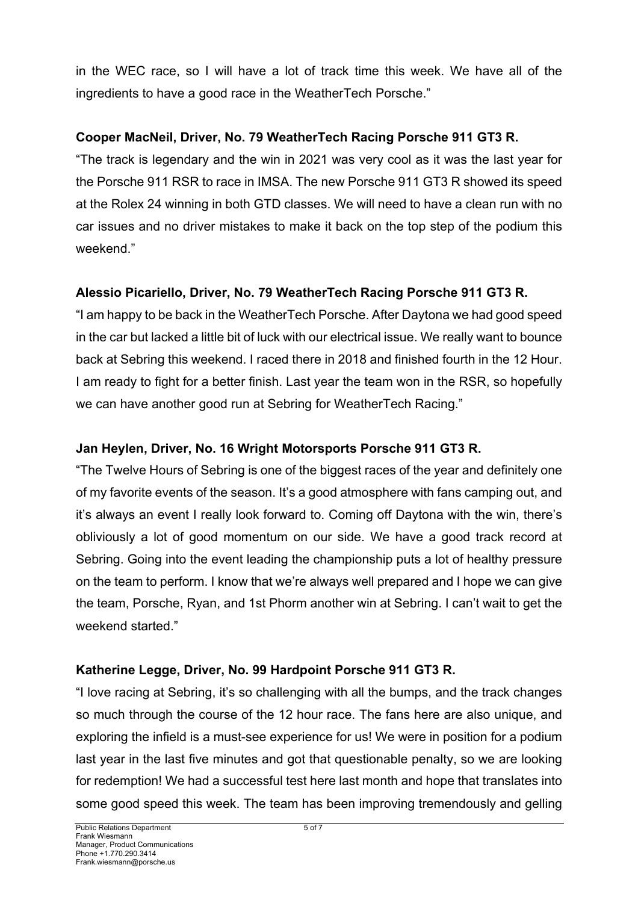in the WEC race, so I will have a lot of track time this week. We have all of the ingredients to have a good race in the WeatherTech Porsche."

### **Cooper MacNeil, Driver, No. 79 WeatherTech Racing Porsche 911 GT3 R.**

"The track is legendary and the win in 2021 was very cool as it was the last year for the Porsche 911 RSR to race in IMSA. The new Porsche 911 GT3 R showed its speed at the Rolex 24 winning in both GTD classes. We will need to have a clean run with no car issues and no driver mistakes to make it back on the top step of the podium this weekend."

## **Alessio Picariello, Driver, No. 79 WeatherTech Racing Porsche 911 GT3 R.**

"I am happy to be back in the WeatherTech Porsche. After Daytona we had good speed in the car but lacked a little bit of luck with our electrical issue. We really want to bounce back at Sebring this weekend. I raced there in 2018 and finished fourth in the 12 Hour. I am ready to fight for a better finish. Last year the team won in the RSR, so hopefully we can have another good run at Sebring for WeatherTech Racing."

### **Jan Heylen, Driver, No. 16 Wright Motorsports Porsche 911 GT3 R.**

"The Twelve Hours of Sebring is one of the biggest races of the year and definitely one of my favorite events of the season. It's a good atmosphere with fans camping out, and it's always an event I really look forward to. Coming off Daytona with the win, there's obliviously a lot of good momentum on our side. We have a good track record at Sebring. Going into the event leading the championship puts a lot of healthy pressure on the team to perform. I know that we're always well prepared and I hope we can give the team, Porsche, Ryan, and 1st Phorm another win at Sebring. I can't wait to get the weekend started."

### **Katherine Legge, Driver, No. 99 Hardpoint Porsche 911 GT3 R.**

"I love racing at Sebring, it's so challenging with all the bumps, and the track changes so much through the course of the 12 hour race. The fans here are also unique, and exploring the infield is a must-see experience for us! We were in position for a podium last year in the last five minutes and got that questionable penalty, so we are looking for redemption! We had a successful test here last month and hope that translates into some good speed this week. The team has been improving tremendously and gelling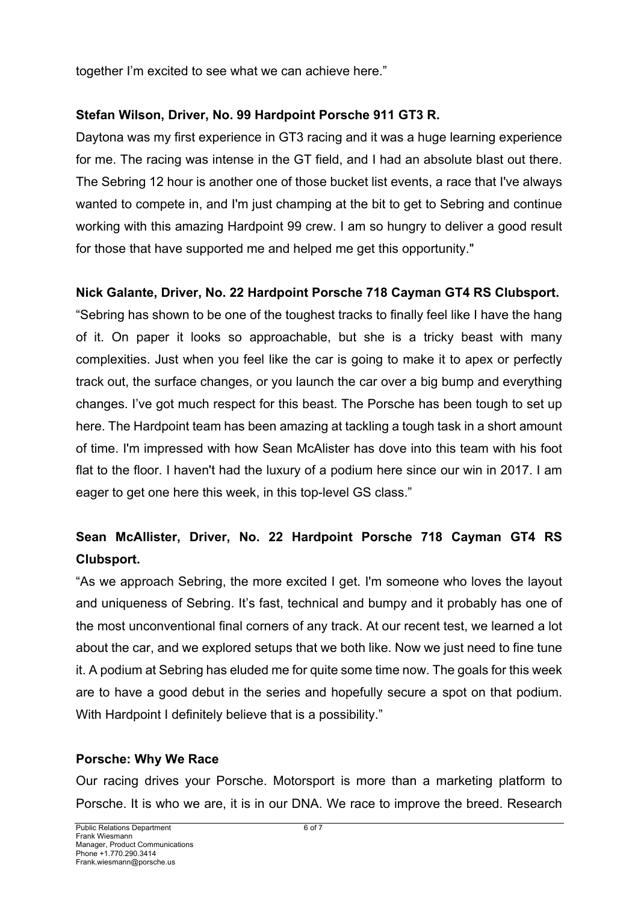together I'm excited to see what we can achieve here."

### **Stefan Wilson, Driver, No. 99 Hardpoint Porsche 911 GT3 R.**

Daytona was my first experience in GT3 racing and it was a huge learning experience for me. The racing was intense in the GT field, and I had an absolute blast out there. The Sebring 12 hour is another one of those bucket list events, a race that I've always wanted to compete in, and I'm just champing at the bit to get to Sebring and continue working with this amazing Hardpoint 99 crew. I am so hungry to deliver a good result for those that have supported me and helped me get this opportunity."

#### **Nick Galante, Driver, No. 22 Hardpoint Porsche 718 Cayman GT4 RS Clubsport.**

"Sebring has shown to be one of the toughest tracks to finally feel like I have the hang of it. On paper it looks so approachable, but she is a tricky beast with many complexities. Just when you feel like the car is going to make it to apex or perfectly track out, the surface changes, or you launch the car over a big bump and everything changes. I've got much respect for this beast. The Porsche has been tough to set up here. The Hardpoint team has been amazing at tackling a tough task in a short amount of time. I'm impressed with how Sean McAlister has dove into this team with his foot flat to the floor. I haven't had the luxury of a podium here since our win in 2017. I am eager to get one here this week, in this top-level GS class."

## **Sean McAllister, Driver, No. 22 Hardpoint Porsche 718 Cayman GT4 RS Clubsport.**

"As we approach Sebring, the more excited I get. I'm someone who loves the layout and uniqueness of Sebring. It's fast, technical and bumpy and it probably has one of the most unconventional final corners of any track. At our recent test, we learned a lot about the car, and we explored setups that we both like. Now we just need to fine tune it. A podium at Sebring has eluded me for quite some time now. The goals for this week are to have a good debut in the series and hopefully secure a spot on that podium. With Hardpoint I definitely believe that is a possibility."

#### **Porsche: Why We Race**

Our racing drives your Porsche. Motorsport is more than a marketing platform to Porsche. It is who we are, it is in our DNA. We race to improve the breed. Research